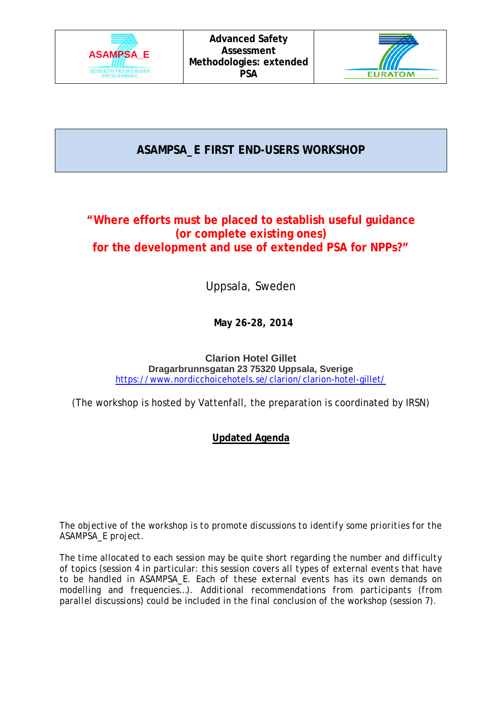



**ASAMPSA\_E FIRST END-USERS WORKSHOP**

# **"Where efforts must be placed to establish useful guidance (or complete existing ones) for the development and use of extended PSA for NPPs?"**

Uppsala, Sweden

**May 26-28, 2014**

**Clarion Hotel Gillet Dragarbrunnsgatan 23 75320 Uppsala, Sverige** <https://www.nordicchoicehotels.se/clarion/clarion-hotel-gillet/>

(The workshop is hosted by Vattenfall, the preparation is coordinated by IRSN)

## **Updated Agenda**

*The objective of the workshop is to promote discussions to identify some priorities for the ASAMPSA\_E project.*

*The time allocated to each session may be quite short regarding the number and difficulty of topics (session 4 in particular: this session covers all types of external events that have to be handled in ASAMPSA\_E. Each of these external events has its own demands on modelling and frequencies…). Additional recommendations from participants (from parallel discussions) could be included in the final conclusion of the workshop (session 7).*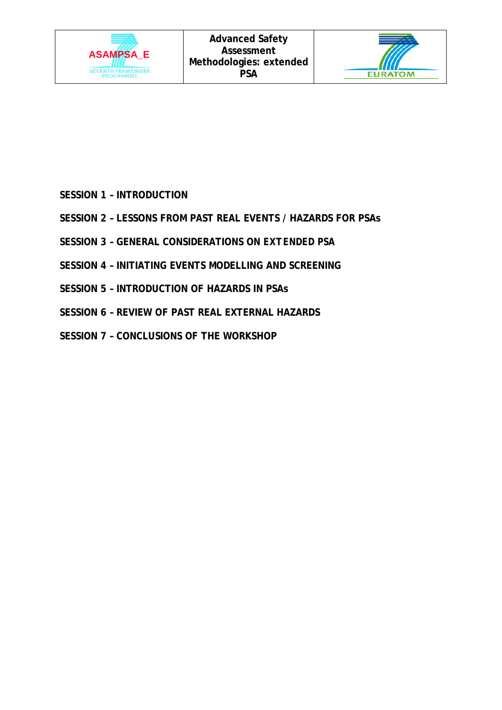



- **SESSION 1 – INTRODUCTION**
- **SESSION 2 – LESSONS FROM PAST REAL EVENTS / HAZARDS FOR PSAs**
- **SESSION 3 – GENERAL CONSIDERATIONS ON** *EXTENDED PSA*
- **SESSION 4 – INITIATING EVENTS MODELLING AND SCREENING**
- **SESSION 5 – INTRODUCTION OF HAZARDS IN PSAs**
- **SESSION 6 – REVIEW OF PAST REAL EXTERNAL HAZARDS**
- **SESSION 7 – CONCLUSIONS OF THE WORKSHOP**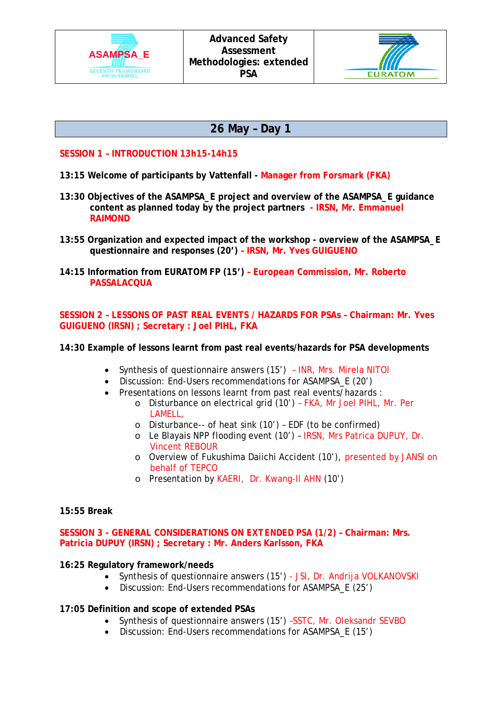



# **26 May – Day 1**

## **SESSION 1 – INTRODUCTION 13h15-14h15**

- **13:15 Welcome of participants by Vattenfall - Manager from Forsmark (FKA)**
- **13:30 Objectives of the ASAMPSA\_E project and overview of the ASAMPSA\_E guidance content as planned today by the project partners - IRSN, Mr. Emmanuel RAIMOND**
- **13:55 Organization and expected impact of the workshop - overview of the ASAMPSA\_E questionnaire and responses (20') – IRSN, Mr. Yves GUIGUENO**
- **14:15 Information from EURATOM FP (15') – European Commission, Mr. Roberto PASSALACQUA**

**SESSION 2 – LESSONS OF PAST REAL EVENTS / HAZARDS FOR PSAs – Chairman: Mr. Yves GUIGUENO (IRSN) ; Secretary : Joel PIHL, FKA**

## **14:30 Example of lessons learnt from past real events/hazards for PSA developments**

- Synthesis of questionnaire answers (15') INR, Mrs. Mirela NITOI
- Discussion: End-Users recommendations for ASAMPSA E (20')
- Presentations on lessons learnt from past real events/hazards :
	- o Disturbance on electrical grid (10') FKA, Mr Joel PIHL, Mr. Per LAMELL,
	- o Disturbance-- of heat sink (10') EDF (to be confirmed)
	- o Le Blayais NPP flooding event (10') IRSN, Mrs Patrica DUPUY, Dr. Vincent REBOUR
	- o Overview of Fukushima Daiichi Accident (10'), presented by JANSI on behalf of TEPCO
	- o Presentation by KAERI, Dr. Kwang-Il AHN (10')

## **15:55 Break**

**SESSION 3 - GENERAL CONSIDERATIONS ON** *EXTENDED PSA* **(1/2) – Chairman: Mrs. Patricia DUPUY (IRSN) ; Secretary : Mr. Anders Karlsson, FKA**

## **16:25 Regulatory framework/needs**

- Synthesis of questionnaire answers (15') JSI, Dr. Andrija VOLKANOVSKI
- Discussion: End-Users recommendations for ASAMPSA\_E (25')

## **17:05 Definition and scope of extended PSAs**

- Synthesis of questionnaire answers (15') -SSTC, Mr. Oleksandr SEVBO
- Discussion: End-Users recommendations for ASAMPSA\_E (15')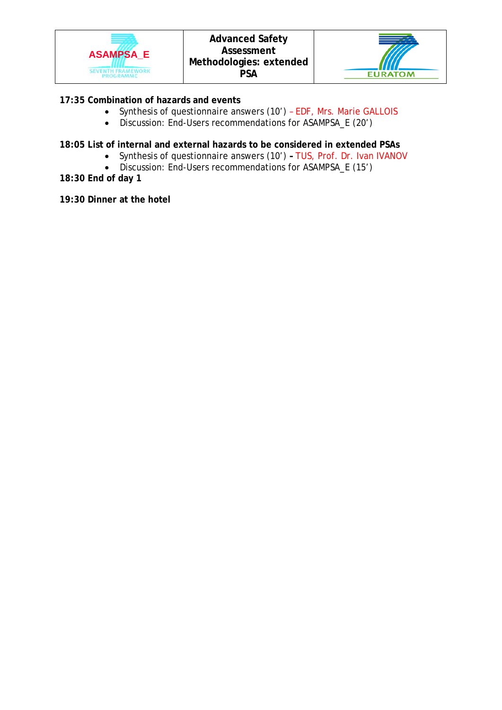



## **17:35 Combination of hazards and events**

- Synthesis of questionnaire answers (10') EDF, Mrs. Marie GALLOIS
- Discussion: End-Users recommendations for ASAMPSA\_E (20')

## **18:05 List of internal and external hazards to be considered in extended PSAs**

- Synthesis of questionnaire answers (10') **–** TUS, Prof. Dr. Ivan IVANOV
- Discussion: End-Users recommendations for ASAMPSA\_E (15')

**18:30 End of day 1**

**19:30 Dinner at the hotel**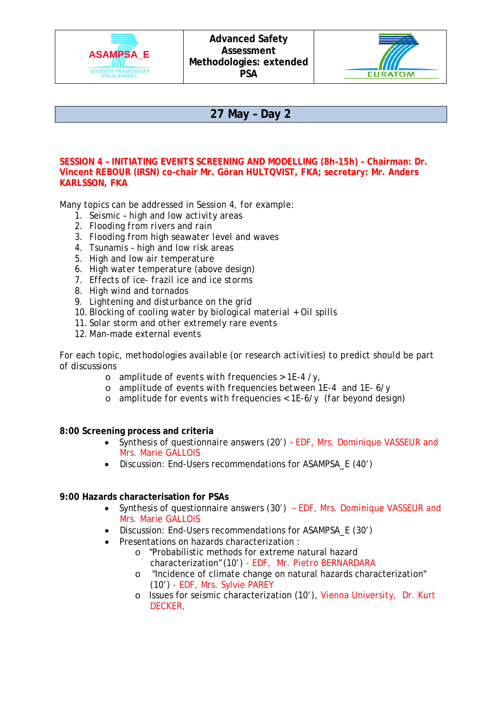



## **27 May – Day 2**

#### **SESSION 4 – INITIATING EVENTS SCREENING AND MODELLING (8h–15h) – Chairman: Dr. Vincent REBOUR (IRSN) co-chair Mr. Göran HULTQVIST, FKA; secretary: Mr. Anders KARLSSON, FKA**

*Many topics can be addressed in Session 4, for example:*

- *1. Seismic – high and low activity areas*
- *2. Flooding from rivers and rain*
- *3. Flooding from high seawater level and waves*
- *4. Tsunamis – high and low risk areas*
- *5. High and low air temperature*
- *6. High water temperature (above design)*
- *7. Effects of ice- frazil ice and ice storms*
- *8. High wind and tornados*
- *9. Lightening and disturbance on the grid*
- *10. Blocking of cooling water by biological material + Oil spills*
- *11. Solar storm and other extremely rare events*
- *12. Man-made external events*

*For each topic, methodologies available (or research activities) to predict should be part of discussions*

- o *amplitude of events with frequencies > 1E-4 /y,*
- o *amplitude of events with frequencies between 1E-4 and 1E- 6/y*
- o *amplitude for events with frequencies < 1E-6/y (far beyond design)*

## **8:00 Screening process and criteria**

- Synthesis of questionnaire answers (20') EDF, Mrs. Dominique VASSEUR and Mrs. Marie GALLOIS
- Discussion: End-Users recommendations for ASAMPSA\_E (40')

## **9:00 Hazards characterisation for PSAs**

- Synthesis of questionnaire answers (30') EDF, Mrs. Dominique VASSEUR and Mrs. Marie GALLOIS
- Discussion: End-Users recommendations for ASAMPSA\_E (30')
- Presentations on hazards characterization :
	- o "Probabilistic methods for extreme natural hazard characterization"(10') - EDF, Mr. Pietro BERNARDARA
	- o "Incidence of climate change on natural hazards characterization" (10') - EDF, Mrs. Sylvie PAREY
	- o Issues for seismic characterization (10'), Vienna University, Dr. Kurt DECKER,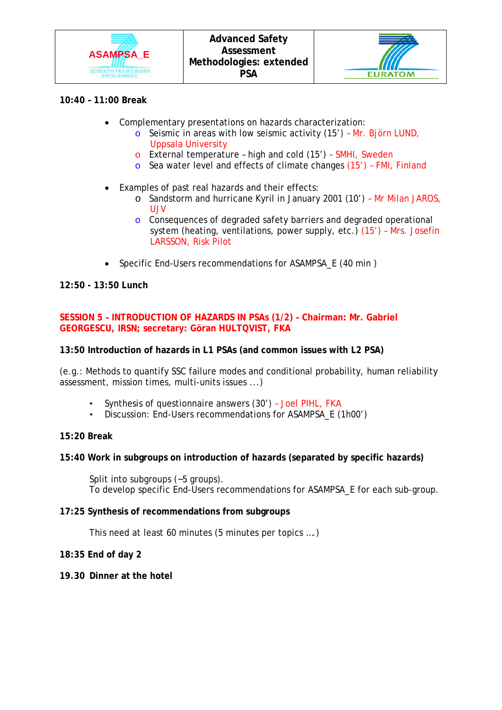



## **10:40 – 11:00 Break**

- Complementary presentations on hazards characterization:
	- o Seismic in areas with low seismic activity (15') Mr. Björn LUND, Uppsala University
	- o External temperature high and cold (15') SMHI, Sweden
	- o Sea water level and effects of climate changes (15') FMI, Finland
- Examples of past real hazards and their effects:
	- o Sandstorm and hurricane Kyril in January 2001 (10') Mr Milan JAROS, UJV
	- o Consequences of degraded safety barriers and degraded operational system (heating, ventilations, power supply, etc.) (15') – Mrs. Josefin LARSSON, Risk Pilot
- Specific End-Users recommendations for ASAMPSA E (40 min)

## **12:50 - 13:50 Lunch**

## **SESSION 5 – INTRODUCTION OF HAZARDS IN PSAs (1/2) – Chairman: Mr. Gabriel GEORGESCU, IRSN; secretary: Göran HULTQVIST, FKA**

## **13:50 Introduction of hazards in L1 PSAs (and common issues with L2 PSA)**

(e.g.: Methods to quantify SSC failure modes and conditional probability, human reliability assessment, mission times, multi-units issues ...)

- Synthesis of questionnaire answers (30') Joel PIHL, FKA
- Discussion: End-Users recommendations for ASAMPSA\_E (1h00')

## **15:20 Break**

## **15:40 Work in subgroups on introduction of hazards (separated by specific hazards)**

Split into subgroups (~5 groups). To develop specific End-Users recommendations for ASAMPSA\_E for each sub-group.

## **17:25 Synthesis of recommendations from subgroups**

This need at least 60 minutes (5 minutes per topics ….)

## **18:35 End of day 2**

**19.30 Dinner at the hotel**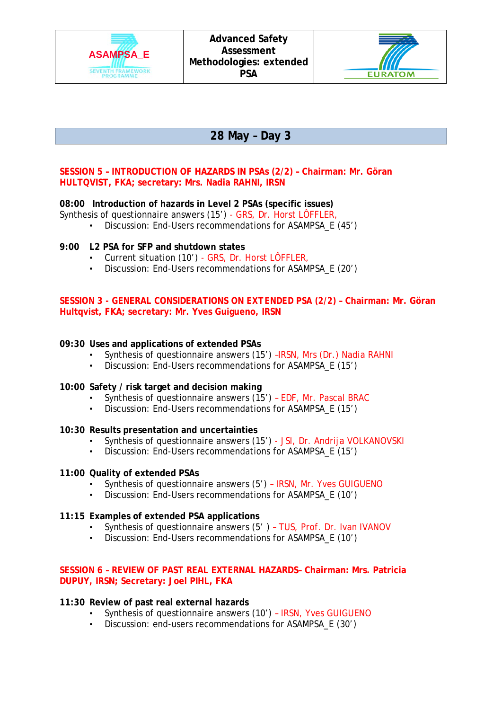



# **28 May – Day 3**

## **SESSION 5 – INTRODUCTION OF HAZARDS IN PSAs (2/2) – Chairman: Mr. Göran HULTQVIST, FKA; secretary: Mrs. Nadia RAHNI, IRSN**

## **08:00 Introduction of hazards in Level 2 PSAs (specific issues)**

Synthesis of questionnaire answers (15') - GRS, Dr. Horst LÔFFLER,

• Discussion: End-Users recommendations for ASAMPSA\_E (45')

## **9:00 L2 PSA for SFP and shutdown states**

- Current situation (10') GRS, Dr. Horst LÔFFLER,<br>• Discussion: End-Users recommendations for ASAM
- Discussion: End-Users recommendations for ASAMPSA\_E (20')

#### **SESSION 3 - GENERAL CONSIDERATIONS ON** *EXTENDED PSA (2/2***) – Chairman: Mr. Göran Hultqvist, FKA; secretary: Mr. Yves Guigueno, IRSN**

## **09:30 Uses and applications of extended PSAs**

- Synthesis of questionnaire answers (15') -IRSN, Mrs (Dr.) Nadia RAHNI<br>• Discussion: End-Users recommendations for ASAMPSA F (15')
- Discussion: End-Users recommendations for ASAMPSA E (15')

## **10:00 Safety / risk target and decision making**

- Synthesis of questionnaire answers (15') EDF, Mr. Pascal BRAC<br>• Discussion: End-Users recommendations for ASAMPSA E (15')
	- Discussion: End-Users recommendations for ASAMPSA\_E (15')

#### **10:30 Results presentation and uncertainties**

- Synthesis of questionnaire answers (15') JSI, Dr. Andrija VOLKANOVSKI
- Discussion: End-Users recommendations for ASAMPSA\_E (15')

#### **11:00 Quality of extended PSAs**

- Synthesis of questionnaire answers (5') IRSN, Mr. Yves GUIGUENO
- Discussion: End-Users recommendations for ASAMPSA\_E (10')

#### **11:15 Examples of extended PSA applications**

- Synthesis of questionnaire answers (5' ) TUS, Prof. Dr. Ivan IVANOV
- Discussion: End-Users recommendations for ASAMPSA\_E (10')

## **SESSION 6 – REVIEW OF PAST REAL EXTERNAL HAZARDS– Chairman: Mrs. Patricia DUPUY, IRSN; Secretary: Joel PIHL, FKA**

#### **11:30 Review of past real external hazards**

- Synthesis of questionnaire answers (10') IRSN, Yves GUIGUENO
- Discussion: end-users recommendations for ASAMPSA\_E (30')